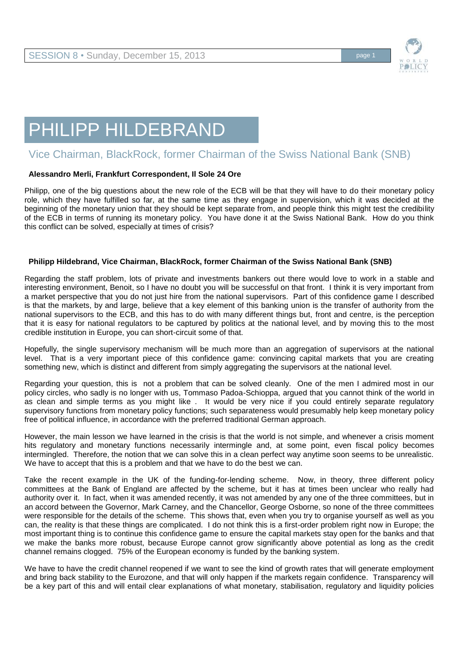

## PHILIPP HILDEBRAND

## Vice Chairman, BlackRock, former Chairman of the Swiss National Bank (SNB)

## **Alessandro Merli, Frankfurt Correspondent, Il Sole 24 Ore**

Philipp, one of the big questions about the new role of the ECB will be that they will have to do their monetary policy role, which they have fulfilled so far, at the same time as they engage in supervision, which it was decided at the beginning of the monetary union that they should be kept separate from, and people think this might test the credibility of the ECB in terms of running its monetary policy. You have done it at the Swiss National Bank. How do you think this conflict can be solved, especially at times of crisis?

## **Philipp Hildebrand, Vice Chairman, BlackRock, former Chairman of the Swiss National Bank (SNB)**

Regarding the staff problem, lots of private and investments bankers out there would love to work in a stable and interesting environment, Benoit, so I have no doubt you will be successful on that front. I think it is very important from a market perspective that you do not just hire from the national supervisors. Part of this confidence game I described is that the markets, by and large, believe that a key element of this banking union is the transfer of authority from the national supervisors to the ECB, and this has to do with many different things but, front and centre, is the perception that it is easy for national regulators to be captured by politics at the national level, and by moving this to the most credible institution in Europe, you can short-circuit some of that.

Hopefully, the single supervisory mechanism will be much more than an aggregation of supervisors at the national level. That is a very important piece of this confidence game: convincing capital markets that you are creating something new, which is distinct and different from simply aggregating the supervisors at the national level.

Regarding your question, this is not a problem that can be solved cleanly. One of the men I admired most in our policy circles, who sadly is no longer with us, Tommaso Padoa-Schioppa, argued that you cannot think of the world in as clean and simple terms as you might like . It would be very nice if you could entirely separate regulatory supervisory functions from monetary policy functions; such separateness would presumably help keep monetary policy free of political influence, in accordance with the preferred traditional German approach.

However, the main lesson we have learned in the crisis is that the world is not simple, and whenever a crisis moment hits regulatory and monetary functions necessarily intermingle and, at some point, even fiscal policy becomes intermingled. Therefore, the notion that we can solve this in a clean perfect way anytime soon seems to be unrealistic. We have to accept that this is a problem and that we have to do the best we can.

Take the recent example in the UK of the funding-for-lending scheme. Now, in theory, three different policy committees at the Bank of England are affected by the scheme, but it has at times been unclear who really had authority over it. In fact, when it was amended recently, it was not amended by any one of the three committees, but in an accord between the Governor, Mark Carney, and the Chancellor, George Osborne, so none of the three committees were responsible for the details of the scheme. This shows that, even when you try to organise yourself as well as you can, the reality is that these things are complicated. I do not think this is a first-order problem right now in Europe; the most important thing is to continue this confidence game to ensure the capital markets stay open for the banks and that we make the banks more robust, because Europe cannot grow significantly above potential as long as the credit channel remains clogged. 75% of the European economy is funded by the banking system.

We have to have the credit channel reopened if we want to see the kind of growth rates that will generate employment and bring back stability to the Eurozone, and that will only happen if the markets regain confidence. Transparency will be a key part of this and will entail clear explanations of what monetary, stabilisation, regulatory and liquidity policies